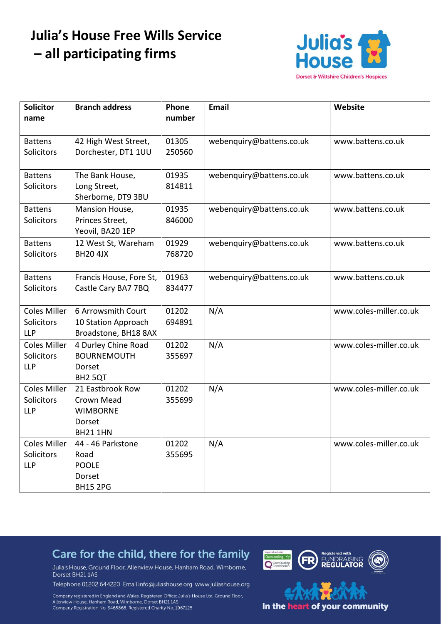# **Julia's House Free Wills Service** - all participating firms



| <b>Solicitor</b>                                | <b>Branch address</b>                                                      | Phone           | <b>Email</b>             | Website                |
|-------------------------------------------------|----------------------------------------------------------------------------|-----------------|--------------------------|------------------------|
| name                                            |                                                                            | number          |                          |                        |
| <b>Battens</b><br>Solicitors                    | 42 High West Street,<br>Dorchester, DT1 1UU                                | 01305<br>250560 | webenquiry@battens.co.uk | www.battens.co.uk      |
| <b>Battens</b><br>Solicitors                    | The Bank House,<br>Long Street,<br>Sherborne, DT9 3BU                      | 01935<br>814811 | webenquiry@battens.co.uk | www.battens.co.uk      |
| <b>Battens</b><br>Solicitors                    | Mansion House,<br>Princes Street,<br>Yeovil, BA20 1EP                      | 01935<br>846000 | webenquiry@battens.co.uk | www.battens.co.uk      |
| <b>Battens</b><br>Solicitors                    | 12 West St, Wareham<br><b>BH20 4JX</b>                                     | 01929<br>768720 | webenquiry@battens.co.uk | www.battens.co.uk      |
| <b>Battens</b><br>Solicitors                    | Francis House, Fore St,<br>Castle Cary BA7 7BQ                             | 01963<br>834477 | webenquiry@battens.co.uk | www.battens.co.uk      |
| <b>Coles Miller</b><br>Solicitors<br><b>LLP</b> | 6 Arrowsmith Court<br>10 Station Approach<br>Broadstone, BH18 8AX          | 01202<br>694891 | N/A                      | www.coles-miller.co.uk |
| <b>Coles Miller</b><br>Solicitors<br><b>LLP</b> | 4 Durley Chine Road<br><b>BOURNEMOUTH</b><br>Dorset<br>BH <sub>2</sub> 5QT | 01202<br>355697 | N/A                      | www.coles-miller.co.uk |
| <b>Coles Miller</b><br>Solicitors<br><b>LLP</b> | 21 Eastbrook Row<br>Crown Mead<br><b>WIMBORNE</b><br>Dorset<br>BH21 1HN    | 01202<br>355699 | N/A                      | www.coles-miller.co.uk |
| Coles Miller<br>Solicitors<br><b>LLP</b>        | 44 - 46 Parkstone<br>Road<br><b>POOLE</b><br>Dorset<br><b>BH15 2PG</b>     | 01202<br>355695 | N/A                      | www.coles-miller.co.uk |

### Care for the child, there for the family

Julia's House, Ground Floor, Allenview House, Hanham Road, Wimborne, Dorset BH211AS

Telephone 01202 644220 Email info@juliashouse.org www.juliashouse.org

Company registered in England and Wales. Registered Office: Julia's House Ltd, Ground Floor, Surriview House, Hanham Road, Wimborne, Dorset BH21 1AS<br>Company Registration No. 3465868. Registered Charity No. 1067125

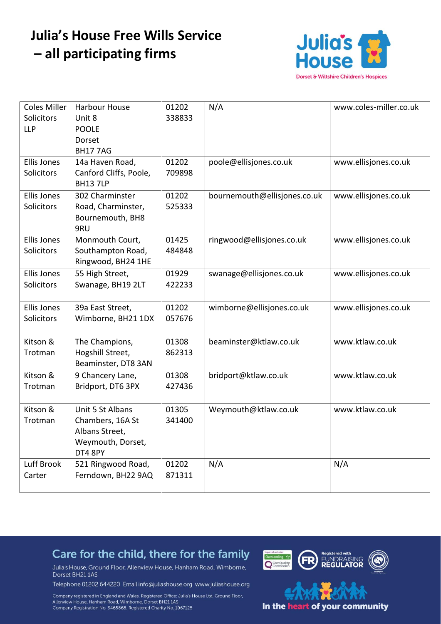# **Julia's House Free Wills Service** - all participating firms



| <b>Coles Miller</b> | Harbour House          | 01202  | N/A                          | www.coles-miller.co.uk |
|---------------------|------------------------|--------|------------------------------|------------------------|
| Solicitors          | Unit 8                 | 338833 |                              |                        |
| <b>LLP</b>          | <b>POOLE</b>           |        |                              |                        |
|                     | Dorset                 |        |                              |                        |
|                     | <b>BH177AG</b>         |        |                              |                        |
| <b>Ellis Jones</b>  | 14a Haven Road,        | 01202  | poole@ellisjones.co.uk       | www.ellisjones.co.uk   |
| Solicitors          | Canford Cliffs, Poole, | 709898 |                              |                        |
|                     | <b>BH13 7LP</b>        |        |                              |                        |
| <b>Ellis Jones</b>  | 302 Charminster        | 01202  | bournemouth@ellisjones.co.uk | www.ellisjones.co.uk   |
| Solicitors          | Road, Charminster,     | 525333 |                              |                        |
|                     | Bournemouth, BH8       |        |                              |                        |
|                     | 9RU                    |        |                              |                        |
| <b>Ellis Jones</b>  | Monmouth Court,        | 01425  | ringwood@ellisjones.co.uk    | www.ellisjones.co.uk   |
| Solicitors          | Southampton Road,      | 484848 |                              |                        |
|                     | Ringwood, BH24 1HE     |        |                              |                        |
| Ellis Jones         | 55 High Street,        | 01929  | swanage@ellisjones.co.uk     | www.ellisjones.co.uk   |
| Solicitors          | Swanage, BH19 2LT      | 422233 |                              |                        |
|                     |                        |        |                              |                        |
| <b>Ellis Jones</b>  | 39a East Street,       | 01202  | wimborne@ellisjones.co.uk    | www.ellisjones.co.uk   |
| Solicitors          | Wimborne, BH21 1DX     | 057676 |                              |                        |
|                     |                        |        |                              |                        |
| Kitson &            | The Champions,         | 01308  | beaminster@ktlaw.co.uk       | www.ktlaw.co.uk        |
| Trotman             | Hogshill Street,       | 862313 |                              |                        |
|                     | Beaminster, DT8 3AN    |        |                              |                        |
| Kitson &            | 9 Chancery Lane,       | 01308  | bridport@ktlaw.co.uk         | www.ktlaw.co.uk        |
| Trotman             | Bridport, DT6 3PX      | 427436 |                              |                        |
|                     |                        |        |                              |                        |
| Kitson &            | Unit 5 St Albans       | 01305  | Weymouth@ktlaw.co.uk         | www.ktlaw.co.uk        |
| Trotman             | Chambers, 16A St       | 341400 |                              |                        |
|                     | Albans Street,         |        |                              |                        |
|                     | Weymouth, Dorset,      |        |                              |                        |
|                     | DT4 8PY                |        |                              |                        |
| Luff Brook          | 521 Ringwood Road,     | 01202  | N/A                          | N/A                    |
| Carter              | Ferndown, BH22 9AQ     | 871311 |                              |                        |
|                     |                        |        |                              |                        |

### Care for the child, there for the family

Julia's House, Ground Floor, Allenview House, Hanham Road, Wimborne, Dorset BH211AS

Telephone 01202 644220 Email info@juliashouse.org www.juliashouse.org

Company registered in England and Wales. Registered Office: Julia's House Ltd, Ground Floor, Surriview House, Hanham Road, Wimborne, Dorset BH21 1AS<br>Company Registration No. 3465868. Registered Charity No. 1067125